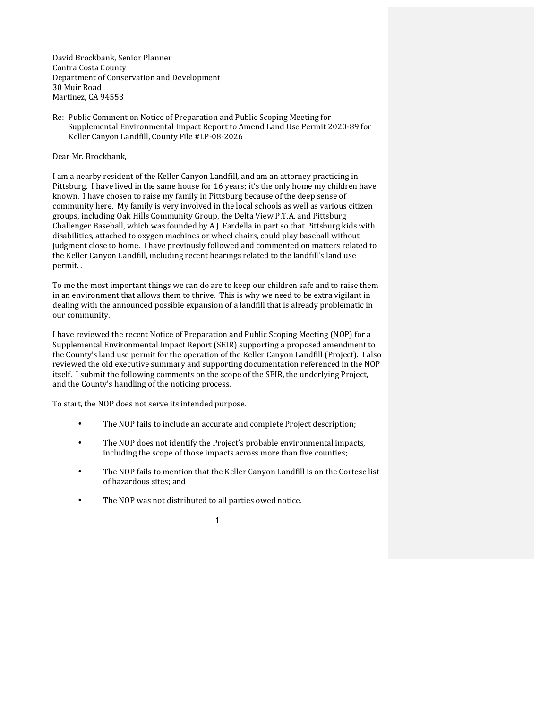David Brockbank, Senior Planner Contra Costa County Department of Conservation and Development 30 Muir Road Martinez, CA 94553

Re: Public Comment on Notice of Preparation and Public Scoping Meeting for Supplemental Environmental Impact Report to Amend Land Use Permit 2020-89 for Keller Canyon Landfill, County File #LP-08-2026

Dear Mr. Brockbank,

I am a nearby resident of the Keller Canyon Landfill, and am an attorney practicing in Pittsburg. I have lived in the same house for 16 years; it's the only home my children have known. I have chosen to raise my family in Pittsburg because of the deep sense of community here. My family is very involved in the local schools as well as various citizen groups, including Oak Hills Community Group, the Delta View P.T.A. and Pittsburg Challenger Baseball, which was founded by A.J. Fardella in part so that Pittsburg kids with disabilities, attached to oxygen machines or wheel chairs, could play baseball without judgment close to home. I have previously followed and commented on matters related to the Keller Canyon Landfill, including recent hearings related to the landfill's land use permit. .

To me the most important things we can do are to keep our children safe and to raise them in an environment that allows them to thrive. This is why we need to be extra vigilant in dealing with the announced possible expansion of a landfill that is already problematic in our community.

I have reviewed the recent Notice of Preparation and Public Scoping Meeting (NOP) for a Supplemental Environmental Impact Report (SEIR) supporting a proposed amendment to the County's land use permit for the operation of the Keller Canyon Landfill (Project). I also reviewed the old executive summary and supporting documentation referenced in the NOP itself. I submit the following comments on the scope of the SEIR, the underlying Project, and the County's handling of the noticing process.

To start, the NOP does not serve its intended purpose.

- The NOP fails to include an accurate and complete Project description;
- The NOP does not identify the Project's probable environmental impacts, including the scope of those impacts across more than five counties;
- The NOP fails to mention that the Keller Canyon Landfill is on the Cortese list of hazardous sites; and
- The NOP was not distributed to all parties owed notice.

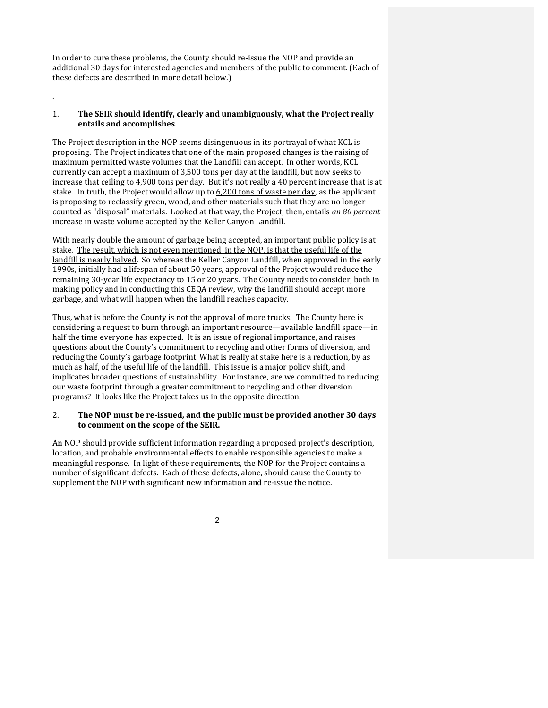In order to cure these problems, the County should re-issue the NOP and provide an additional 30 days for interested agencies and members of the public to comment. (Each of these defects are described in more detail below.)

# 1. The SEIR should identify, clearly and unambiguously, what the Project really **entails and accomplishes**.

.

The Project description in the NOP seems disingenuous in its portrayal of what KCL is proposing. The Project indicates that one of the main proposed changes is the raising of maximum permitted waste volumes that the Landfill can accept. In other words, KCL currently can accept a maximum of 3,500 tons per day at the landfill, but now seeks to increase that ceiling to 4,900 tons per day. But it's not really a 40 percent increase that is at stake. In truth, the Project would allow up to  $6,200$  tons of waste per day, as the applicant is proposing to reclassify green, wood, and other materials such that they are no longer counted as "disposal" materials. Looked at that way, the Project, then, entails an 80 percent increase in waste volume accepted by the Keller Canyon Landfill.

With nearly double the amount of garbage being accepted, an important public policy is at stake. The result, which is not even mentioned in the NOP, is that the useful life of the landfill is nearly halved. So whereas the Keller Canyon Landfill, when approved in the early 1990s, initially had a lifespan of about 50 years, approval of the Project would reduce the remaining 30-year life expectancy to 15 or 20 years. The County needs to consider, both in making policy and in conducting this CEQA review, why the landfill should accept more garbage, and what will happen when the landfill reaches capacity.

Thus, what is before the County is not the approval of more trucks. The County here is considering a request to burn through an important resource—available landfill space—in half the time everyone has expected. It is an issue of regional importance, and raises questions about the County's commitment to recycling and other forms of diversion, and reducing the County's garbage footprint. What is really at stake here is a reduction, by as much as half, of the useful life of the landfill. This issue is a major policy shift, and implicates broader questions of sustainability. For instance, are we committed to reducing our waste footprint through a greater commitment to recycling and other diversion programs? It looks like the Project takes us in the opposite direction.

# 2. The NOP must be re-issued, and the public must be provided another 30 days to comment on the scope of the SEIR.

An NOP should provide sufficient information regarding a proposed project's description, location, and probable environmental effects to enable responsible agencies to make a meaningful response. In light of these requirements, the NOP for the Project contains a number of significant defects. Each of these defects, alone, should cause the County to supplement the NOP with significant new information and re-issue the notice.

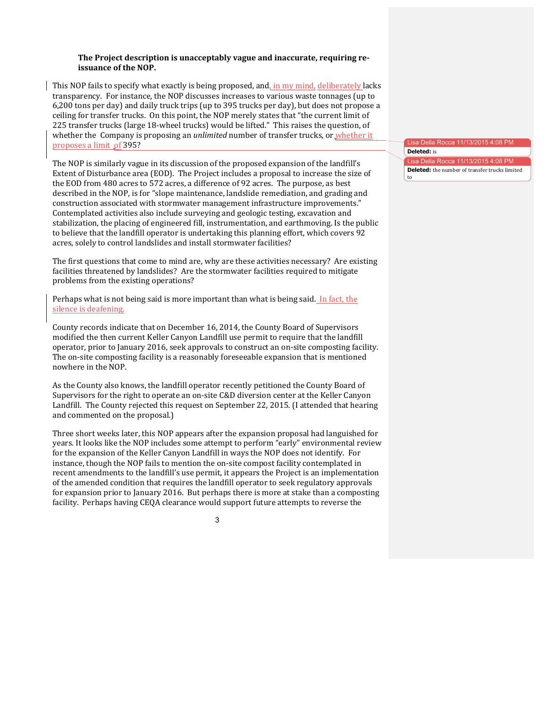#### **The Project description is unacceptably vague and inaccurate, requiring reissuance of the NOP.**

This NOP fails to specify what exactly is being proposed, and, in my mind, deliberately lacks transparency. For instance, the NOP discusses increases to various waste tonnages (up to 6,200 tons per day) and daily truck trips (up to 395 trucks per day), but does not propose a ceiling for transfer trucks. On this point, the NOP merely states that "the current limit of 225 transfer trucks (large 18-wheel trucks) would be lifted." This raises the question, of whether the Company is proposing an *unlimited* number of transfer trucks, or whether it proposes a limit of 395?

The NOP is similarly vague in its discussion of the proposed expansion of the landfill's Extent of Disturbance area (EOD). The Project includes a proposal to increase the size of the EOD from 480 acres to 572 acres, a difference of 92 acres. The purpose, as best described in the NOP, is for "slope maintenance, landslide remediation, and grading and construction associated with stormwater management infrastructure improvements." Contemplated activities also include surveying and geologic testing, excavation and stabilization, the placing of engineered fill, instrumentation, and earthmoving. Is the public to believe that the landfill operator is undertaking this planning effort, which covers 92 acres, solely to control landslides and install stormwater facilities?

The first questions that come to mind are, why are these activities necessary? Are existing facilities threatened by landslides? Are the stormwater facilities required to mitigate problems from the existing operations?

Perhaps what is not being said is more important than what is being said. In fact, the silence is deafening.

County records indicate that on December 16, 2014, the County Board of Supervisors modified the then current Keller Canyon Landfill use permit to require that the landfill operator, prior to January 2016, seek approvals to construct an on-site composting facility. The on-site composting facility is a reasonably foreseeable expansion that is mentioned nowhere in the NOP.

As the County also knows, the landfill operator recently petitioned the County Board of Supervisors for the right to operate an on-site C&D diversion center at the Keller Canyon Landfill. The County rejected this request on September 22, 2015. (I attended that hearing and commented on the proposal.)

Three short weeks later, this NOP appears after the expansion proposal had languished for years. It looks like the NOP includes some attempt to perform "early" environmental review for the expansion of the Keller Canyon Landfill in ways the NOP does not identify. For instance, though the NOP fails to mention the on-site compost facility contemplated in recent amendments to the landfill's use permit, it appears the Project is an implementation of the amended condition that requires the landfill operator to seek regulatory approvals for expansion prior to January 2016. But perhaps there is more at stake than a composting facility. Perhaps having CEQA clearance would support future attempts to reverse the

3

Lisa Della Rocca **Deleted:** is

Lisa Della Rocca 11/13/2015 4:08 PM **Deleted:** the number of transfer trucks limited to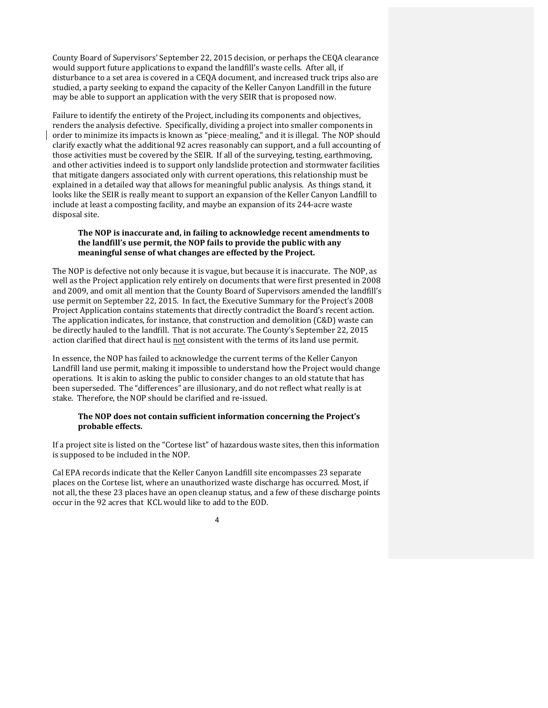County Board of Supervisors' September 22, 2015 decision, or perhaps the CEQA clearance would support future applications to expand the landfill's waste cells. After all, if disturbance to a set area is covered in a CEQA document, and increased truck trips also are studied, a party seeking to expand the capacity of the Keller Canyon Landfill in the future may be able to support an application with the very SEIR that is proposed now.

Failure to identify the entirety of the Project, including its components and objectives, renders the analysis defective. Specifically, dividing a project into smaller components in order to minimize its impacts is known as "piece-mealing," and it is illegal. The NOP should clarify exactly what the additional 92 acres reasonably can support, and a full accounting of those activities must be covered by the SEIR. If all of the surveying, testing, earthmoving, and other activities indeed is to support only landslide protection and stormwater facilities that mitigate dangers associated only with current operations, this relationship must be explained in a detailed way that allows for meaningful public analysis. As things stand, it looks like the SEIR is really meant to support an expansion of the Keller Canyon Landfill to include at least a composting facility, and maybe an expansion of its 244-acre waste disposal site.

## The NOP is inaccurate and, in failing to acknowledge recent amendments to the landfill's use permit, the NOP fails to provide the public with any meaningful sense of what changes are effected by the Project.

The NOP is defective not only because it is vague, but because it is inaccurate. The NOP, as well as the Project application rely entirely on documents that were first presented in 2008 and 2009, and omit all mention that the County Board of Supervisors amended the landfill's use permit on September 22, 2015. In fact, the Executive Summary for the Project's 2008 Project Application contains statements that directly contradict the Board's recent action. The application indicates, for instance, that construction and demolition  $(C&D)$  waste can be directly hauled to the landfill. That is not accurate. The County's September 22, 2015 action clarified that direct haul is not consistent with the terms of its land use permit.

In essence, the NOP has failed to acknowledge the current terms of the Keller Canyon Landfill land use permit, making it impossible to understand how the Project would change operations. It is akin to asking the public to consider changes to an old statute that has been superseded. The "differences" are illusionary, and do not reflect what really is at stake. Therefore, the NOP should be clarified and re-issued.

# The NOP does not contain sufficient information concerning the Project's probable effects.

If a project site is listed on the "Cortese list" of hazardous waste sites, then this information is supposed to be included in the NOP.

Cal EPA records indicate that the Keller Canyon Landfill site encompasses 23 separate places on the Cortese list, where an unauthorized waste discharge has occurred. Most, if not all, the these 23 places have an open cleanup status, and a few of these discharge points occur in the 92 acres that KCL would like to add to the EOD.

4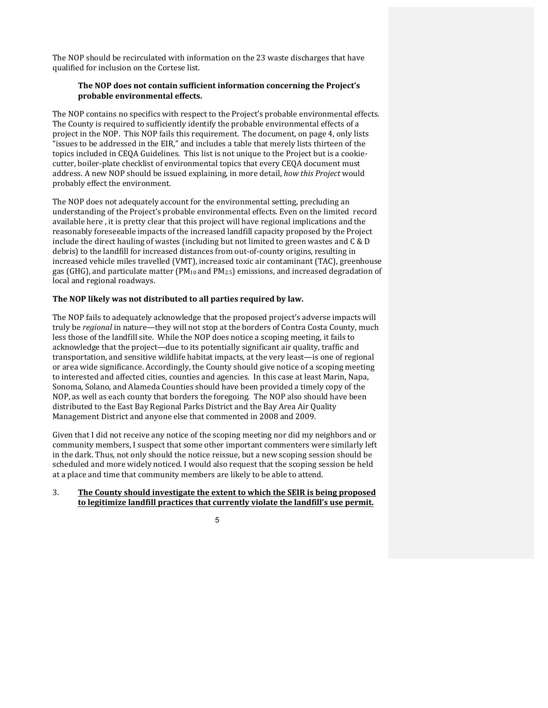The NOP should be recirculated with information on the 23 waste discharges that have qualified for inclusion on the Cortese list.

# The NOP does not contain sufficient information concerning the Project's probable environmental effects.

The NOP contains no specifics with respect to the Project's probable environmental effects. The County is required to sufficiently identify the probable environmental effects of a project in the NOP. This NOP fails this requirement. The document, on page 4, only lists "issues to be addressed in the EIR," and includes a table that merely lists thirteen of the topics included in CEOA Guidelines. This list is not unique to the Project but is a cookiecutter, boiler-plate checklist of environmental topics that every CEOA document must address. A new NOP should be issued explaining, in more detail, *how this Project* would probably effect the environment.

The NOP does not adequately account for the environmental setting, precluding an understanding of the Project's probable environmental effects. Even on the limited record available here, it is pretty clear that this project will have regional implications and the reasonably foreseeable impacts of the increased landfill capacity proposed by the Project include the direct hauling of wastes (including but not limited to green wastes and  $C & D$ debris) to the landfill for increased distances from out-of-county origins, resulting in increased vehicle miles travelled (VMT), increased toxic air contaminant (TAC), greenhouse gas (GHG), and particulate matter  $(PM_{10}$  and  $PM_{2.5}$ ) emissions, and increased degradation of local and regional roadways.

# The NOP likely was not distributed to all parties required by law.

The NOP fails to adequately acknowledge that the proposed project's adverse impacts will truly be *regional* in nature—they will not stop at the borders of Contra Costa County, much less those of the landfill site. While the NOP does notice a scoping meeting, it fails to acknowledge that the project—due to its potentially significant air quality, traffic and transportation, and sensitive wildlife habitat impacts, at the very least—is one of regional or area wide significance. Accordingly, the County should give notice of a scoping meeting to interested and affected cities, counties and agencies. In this case at least Marin, Napa, Sonoma, Solano, and Alameda Counties should have been provided a timely copy of the NOP, as well as each county that borders the foregoing. The NOP also should have been distributed to the East Bay Regional Parks District and the Bay Area Air Quality Management District and anyone else that commented in 2008 and 2009.

Given that I did not receive any notice of the scoping meeting nor did my neighbors and or community members, I suspect that some other important commenters were similarly left in the dark. Thus, not only should the notice reissue, but a new scoping session should be scheduled and more widely noticed. I would also request that the scoping session be held at a place and time that community members are likely to be able to attend.

## 3. The County should investigate the extent to which the SEIR is being proposed to legitimize landfill practices that currently violate the landfill's use permit.

### 5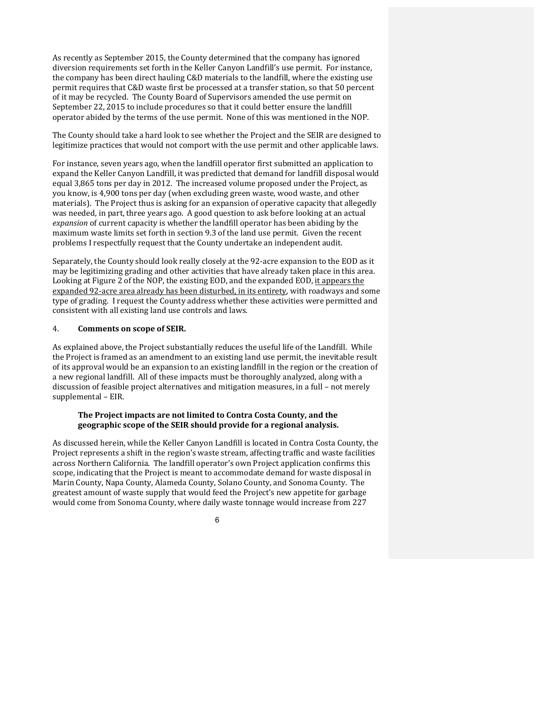As recently as September 2015, the County determined that the company has ignored diversion requirements set forth in the Keller Canyon Landfill's use permit. For instance, the company has been direct hauling C&D materials to the landfill, where the existing use permit requires that  $C&D$  waste first be processed at a transfer station, so that 50 percent of it may be recycled. The County Board of Supervisors amended the use permit on September 22, 2015 to include procedures so that it could better ensure the landfill operator abided by the terms of the use permit. None of this was mentioned in the NOP.

The County should take a hard look to see whether the Project and the SEIR are designed to legitimize practices that would not comport with the use permit and other applicable laws.

For instance, seven years ago, when the landfill operator first submitted an application to expand the Keller Canyon Landfill, it was predicted that demand for landfill disposal would equal 3,865 tons per day in 2012. The increased volume proposed under the Project, as you know, is 4,900 tons per day (when excluding green waste, wood waste, and other materials). The Project thus is asking for an expansion of operative capacity that allegedly was needed, in part, three years ago. A good question to ask before looking at an actual expansion of current capacity is whether the landfill operator has been abiding by the maximum waste limits set forth in section 9.3 of the land use permit. Given the recent problems I respectfully request that the County undertake an independent audit.

Separately, the County should look really closely at the 92-acre expansion to the EOD as it may be legitimizing grading and other activities that have already taken place in this area. Looking at Figure 2 of the NOP, the existing EOD, and the expanded EOD, it appears the expanded 92-acre area already has been disturbed, in its entirety, with roadways and some type of grading. I request the County address whether these activities were permitted and consistent with all existing land use controls and laws.

## 4. **Comments on scope of SEIR.**

As explained above, the Project substantially reduces the useful life of the Landfill. While the Project is framed as an amendment to an existing land use permit, the inevitable result of its approval would be an expansion to an existing landfill in the region or the creation of a new regional landfill. All of these impacts must be thoroughly analyzed, along with a discussion of feasible project alternatives and mitigation measures, in a full – not merely supplemental - EIR.

## The Project impacts are not limited to Contra Costa County, and the geographic scope of the SEIR should provide for a regional analysis.

As discussed herein, while the Keller Canyon Landfill is located in Contra Costa County, the Project represents a shift in the region's waste stream, affecting traffic and waste facilities across Northern California. The landfill operator's own Project application confirms this scope, indicating that the Project is meant to accommodate demand for waste disposal in Marin County, Napa County, Alameda County, Solano County, and Sonoma County. The greatest amount of waste supply that would feed the Project's new appetite for garbage would come from Sonoma County, where daily waste tonnage would increase from 227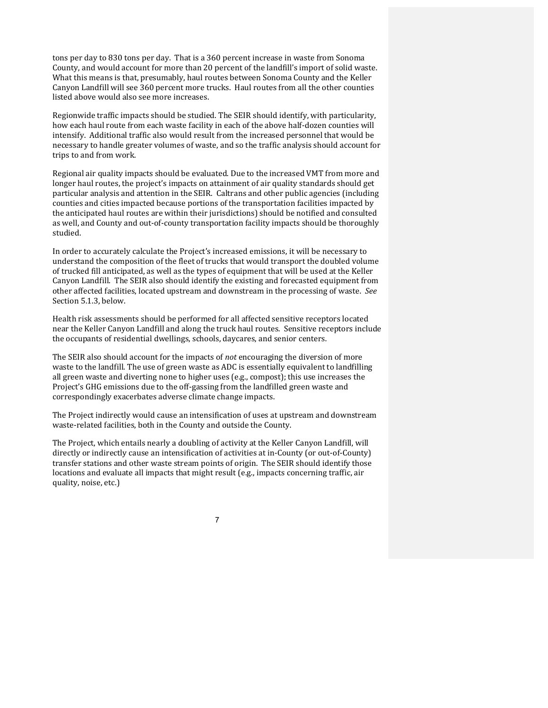tons per day to 830 tons per day. That is a 360 percent increase in waste from Sonoma County, and would account for more than 20 percent of the landfill's import of solid waste. What this means is that, presumably, haul routes between Sonoma County and the Keller Canyon Landfill will see 360 percent more trucks. Haul routes from all the other counties listed above would also see more increases.

Regionwide traffic impacts should be studied. The SEIR should identify, with particularity, how each haul route from each waste facility in each of the above half-dozen counties will intensify. Additional traffic also would result from the increased personnel that would be necessary to handle greater volumes of waste, and so the traffic analysis should account for trips to and from work.

Regional air quality impacts should be evaluated. Due to the increased VMT from more and longer haul routes, the project's impacts on attainment of air quality standards should get particular analysis and attention in the SEIR. Caltrans and other public agencies (including counties and cities impacted because portions of the transportation facilities impacted by the anticipated haul routes are within their jurisdictions) should be notified and consulted as well, and County and out-of-county transportation facility impacts should be thoroughly studied. 

In order to accurately calculate the Project's increased emissions, it will be necessary to understand the composition of the fleet of trucks that would transport the doubled volume of trucked fill anticipated, as well as the types of equipment that will be used at the Keller Canyon Landfill. The SEIR also should identify the existing and forecasted equipment from other affected facilities, located upstream and downstream in the processing of waste. See Section 5.1.3, below.

Health risk assessments should be performed for all affected sensitive receptors located near the Keller Canyon Landfill and along the truck haul routes. Sensitive receptors include the occupants of residential dwellings, schools, daycares, and senior centers.

The SEIR also should account for the impacts of *not* encouraging the diversion of more waste to the landfill. The use of green waste as ADC is essentially equivalent to landfilling all green waste and diverting none to higher uses (e.g., compost); this use increases the Project's GHG emissions due to the off-gassing from the landfilled green waste and correspondingly exacerbates adverse climate change impacts.

The Project indirectly would cause an intensification of uses at upstream and downstream waste-related facilities, both in the County and outside the County.

The Project, which entails nearly a doubling of activity at the Keller Canyon Landfill, will directly or indirectly cause an intensification of activities at in-County (or out-of-County) transfer stations and other waste stream points of origin. The SEIR should identify those locations and evaluate all impacts that might result (e.g., impacts concerning traffic, air quality, noise, etc.)

7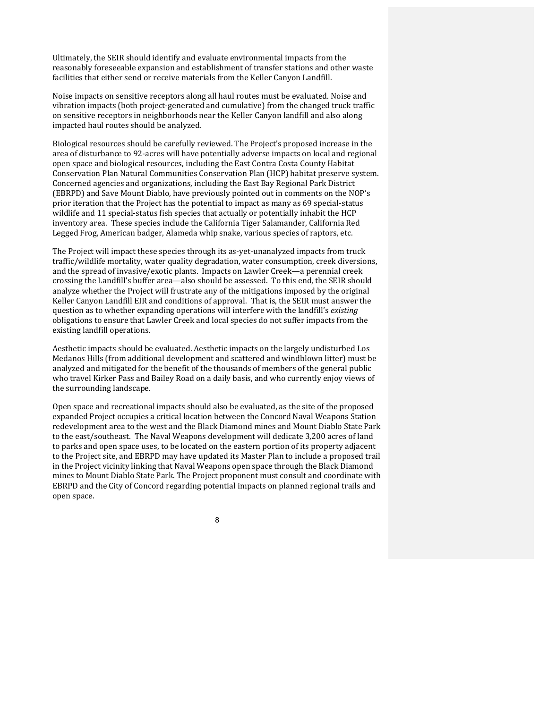Ultimately, the SEIR should identify and evaluate environmental impacts from the reasonably foreseeable expansion and establishment of transfer stations and other waste facilities that either send or receive materials from the Keller Canyon Landfill.

Noise impacts on sensitive receptors along all haul routes must be evaluated. Noise and vibration impacts (both project-generated and cumulative) from the changed truck traffic on sensitive receptors in neighborhoods near the Keller Canyon landfill and also along impacted haul routes should be analyzed.

Biological resources should be carefully reviewed. The Project's proposed increase in the area of disturbance to 92-acres will have potentially adverse impacts on local and regional open space and biological resources, including the East Contra Costa County Habitat Conservation Plan Natural Communities Conservation Plan (HCP) habitat preserve system. Concerned agencies and organizations, including the East Bay Regional Park District (EBRPD) and Save Mount Diablo, have previously pointed out in comments on the NOP's prior iteration that the Project has the potential to impact as many as 69 special-status wildlife and 11 special-status fish species that actually or potentially inhabit the HCP inventory area. These species include the California Tiger Salamander, California Red Legged Frog, American badger, Alameda whip snake, various species of raptors, etc.

The Project will impact these species through its as-yet-unanalyzed impacts from truck traffic/wildlife mortality, water quality degradation, water consumption, creek diversions, and the spread of invasive/exotic plants. Impacts on Lawler Creek—a perennial creek crossing the Landfill's buffer area—also should be assessed. To this end, the SEIR should analyze whether the Project will frustrate any of the mitigations imposed by the original Keller Canyon Landfill EIR and conditions of approval. That is, the SEIR must answer the question as to whether expanding operations will interfere with the landfill's existing obligations to ensure that Lawler Creek and local species do not suffer impacts from the existing landfill operations.

Aesthetic impacts should be evaluated. Aesthetic impacts on the largely undisturbed Los Medanos Hills (from additional development and scattered and windblown litter) must be analyzed and mitigated for the benefit of the thousands of members of the general public who travel Kirker Pass and Bailey Road on a daily basis, and who currently enjoy views of the surrounding landscape.

Open space and recreational impacts should also be evaluated, as the site of the proposed expanded Project occupies a critical location between the Concord Naval Weapons Station redevelopment area to the west and the Black Diamond mines and Mount Diablo State Park to the east/southeast. The Naval Weapons development will dedicate 3,200 acres of land to parks and open space uses, to be located on the eastern portion of its property adjacent to the Project site, and EBRPD may have updated its Master Plan to include a proposed trail in the Project vicinity linking that Naval Weapons open space through the Black Diamond mines to Mount Diablo State Park. The Project proponent must consult and coordinate with EBRPD and the City of Concord regarding potential impacts on planned regional trails and open space.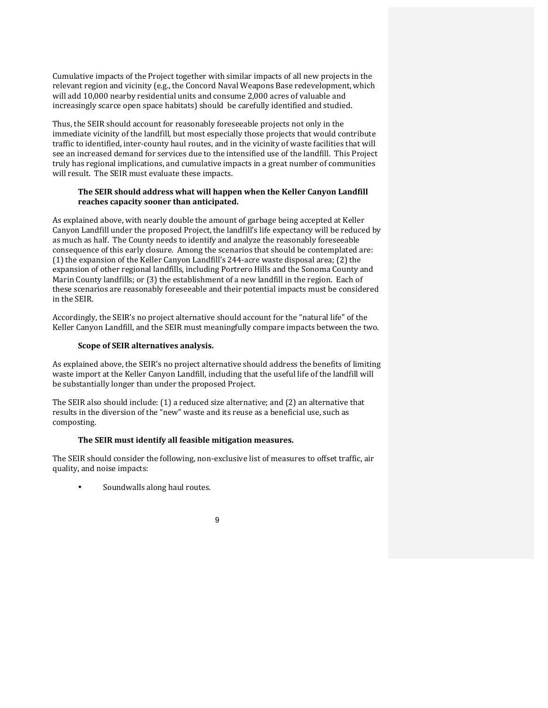Cumulative impacts of the Project together with similar impacts of all new projects in the relevant region and vicinity (e.g., the Concord Naval Weapons Base redevelopment, which will add 10,000 nearby residential units and consume 2,000 acres of valuable and increasingly scarce open space habitats) should be carefully identified and studied.

Thus, the SEIR should account for reasonably foreseeable projects not only in the immediate vicinity of the landfill, but most especially those projects that would contribute traffic to identified, inter-county haul routes, and in the vicinity of waste facilities that will see an increased demand for services due to the intensified use of the landfill. This Project truly has regional implications, and cumulative impacts in a great number of communities will result. The SEIR must evaluate these impacts.

# The SEIR should address what will happen when the Keller Canyon Landfill reaches capacity sooner than anticipated.

As explained above, with nearly double the amount of garbage being accepted at Keller Canyon Landfill under the proposed Project, the landfill's life expectancy will be reduced by as much as half. The County needs to identify and analyze the reasonably foreseeable consequence of this early closure. Among the scenarios that should be contemplated are: (1) the expansion of the Keller Canyon Landfill's 244-acre waste disposal area; (2) the expansion of other regional landfills, including Portrero Hills and the Sonoma County and Marin County landfills; or (3) the establishment of a new landfill in the region. Each of these scenarios are reasonably foreseeable and their potential impacts must be considered in the SEIR.

Accordingly, the SEIR's no project alternative should account for the "natural life" of the Keller Canyon Landfill, and the SEIR must meaningfully compare impacts between the two.

# **Scope of SEIR alternatives analysis.**

As explained above, the SEIR's no project alternative should address the benefits of limiting waste import at the Keller Canyon Landfill, including that the useful life of the landfill will be substantially longer than under the proposed Project.

The SEIR also should include: (1) a reduced size alternative; and (2) an alternative that results in the diversion of the "new" waste and its reuse as a beneficial use, such as composting.

## The SEIR must identify all feasible mitigation measures.

The SEIR should consider the following, non-exclusive list of measures to offset traffic, air quality, and noise impacts:

Soundwalls along haul routes.